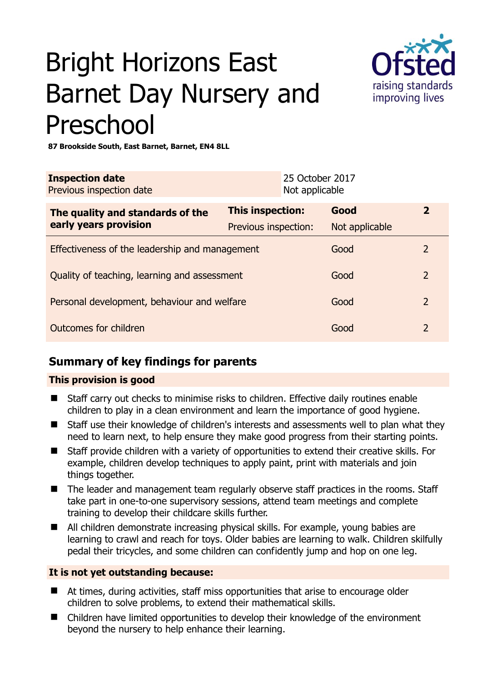# Bright Horizons East Barnet Day Nursery and Preschool



**87 Brookside South, East Barnet, Barnet, EN4 8LL** 

| <b>Inspection date</b><br>Previous inspection date        | 25 October 2017<br>Not applicable |                |                |
|-----------------------------------------------------------|-----------------------------------|----------------|----------------|
| The quality and standards of the<br>early years provision | This inspection:                  | Good           | $\mathbf{2}$   |
|                                                           | Previous inspection:              | Not applicable |                |
| Effectiveness of the leadership and management            |                                   | Good           | 2              |
| Quality of teaching, learning and assessment              |                                   | Good           | $\overline{2}$ |
| Personal development, behaviour and welfare               |                                   | Good           | $\overline{2}$ |
| Outcomes for children                                     |                                   | Good           | $\overline{2}$ |

## **Summary of key findings for parents**

## **This provision is good**

- Staff carry out checks to minimise risks to children. Effective daily routines enable children to play in a clean environment and learn the importance of good hygiene.
- Staff use their knowledge of children's interests and assessments well to plan what they need to learn next, to help ensure they make good progress from their starting points.
- Staff provide children with a variety of opportunities to extend their creative skills. For example, children develop techniques to apply paint, print with materials and join things together.
- The leader and management team regularly observe staff practices in the rooms. Staff take part in one-to-one supervisory sessions, attend team meetings and complete training to develop their childcare skills further.
- All children demonstrate increasing physical skills. For example, young babies are learning to crawl and reach for toys. Older babies are learning to walk. Children skilfully pedal their tricycles, and some children can confidently jump and hop on one leg.

## **It is not yet outstanding because:**

- At times, during activities, staff miss opportunities that arise to encourage older children to solve problems, to extend their mathematical skills.
- Children have limited opportunities to develop their knowledge of the environment beyond the nursery to help enhance their learning.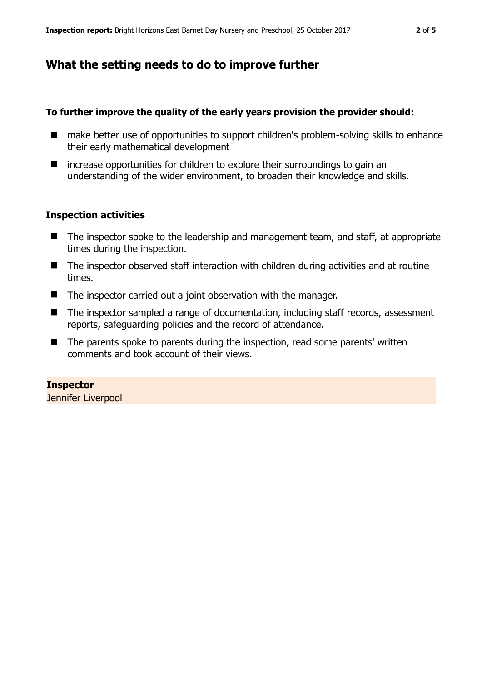## **What the setting needs to do to improve further**

#### **To further improve the quality of the early years provision the provider should:**

- make better use of opportunities to support children's problem-solving skills to enhance their early mathematical development
- $\blacksquare$  increase opportunities for children to explore their surroundings to gain an understanding of the wider environment, to broaden their knowledge and skills.

#### **Inspection activities**

- The inspector spoke to the leadership and management team, and staff, at appropriate times during the inspection.
- The inspector observed staff interaction with children during activities and at routine times.
- The inspector carried out a joint observation with the manager.
- The inspector sampled a range of documentation, including staff records, assessment reports, safeguarding policies and the record of attendance.
- The parents spoke to parents during the inspection, read some parents' written comments and took account of their views.

**Inspector**  Jennifer Liverpool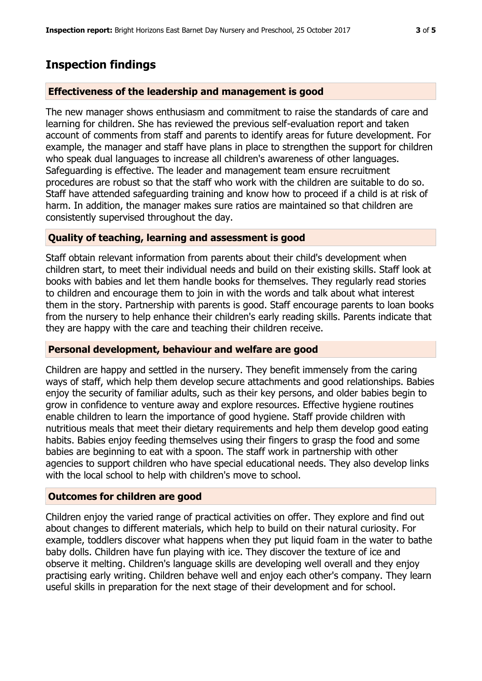## **Inspection findings**

### **Effectiveness of the leadership and management is good**

The new manager shows enthusiasm and commitment to raise the standards of care and learning for children. She has reviewed the previous self-evaluation report and taken account of comments from staff and parents to identify areas for future development. For example, the manager and staff have plans in place to strengthen the support for children who speak dual languages to increase all children's awareness of other languages. Safeguarding is effective. The leader and management team ensure recruitment procedures are robust so that the staff who work with the children are suitable to do so. Staff have attended safeguarding training and know how to proceed if a child is at risk of harm. In addition, the manager makes sure ratios are maintained so that children are consistently supervised throughout the day.

#### **Quality of teaching, learning and assessment is good**

Staff obtain relevant information from parents about their child's development when children start, to meet their individual needs and build on their existing skills. Staff look at books with babies and let them handle books for themselves. They regularly read stories to children and encourage them to join in with the words and talk about what interest them in the story. Partnership with parents is good. Staff encourage parents to loan books from the nursery to help enhance their children's early reading skills. Parents indicate that they are happy with the care and teaching their children receive.

#### **Personal development, behaviour and welfare are good**

Children are happy and settled in the nursery. They benefit immensely from the caring ways of staff, which help them develop secure attachments and good relationships. Babies enjoy the security of familiar adults, such as their key persons, and older babies begin to grow in confidence to venture away and explore resources. Effective hygiene routines enable children to learn the importance of good hygiene. Staff provide children with nutritious meals that meet their dietary requirements and help them develop good eating habits. Babies enjoy feeding themselves using their fingers to grasp the food and some babies are beginning to eat with a spoon. The staff work in partnership with other agencies to support children who have special educational needs. They also develop links with the local school to help with children's move to school.

## **Outcomes for children are good**

Children enjoy the varied range of practical activities on offer. They explore and find out about changes to different materials, which help to build on their natural curiosity. For example, toddlers discover what happens when they put liquid foam in the water to bathe baby dolls. Children have fun playing with ice. They discover the texture of ice and observe it melting. Children's language skills are developing well overall and they enjoy practising early writing. Children behave well and enjoy each other's company. They learn useful skills in preparation for the next stage of their development and for school.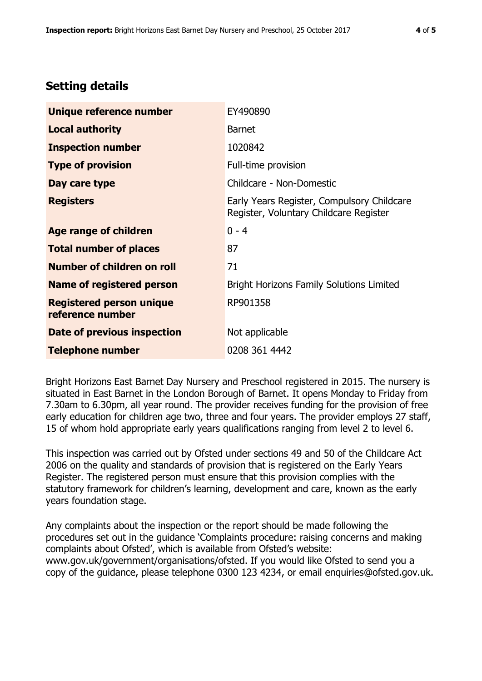# **Setting details**

| Unique reference number                             | EY490890                                                                             |  |
|-----------------------------------------------------|--------------------------------------------------------------------------------------|--|
| <b>Local authority</b>                              | <b>Barnet</b>                                                                        |  |
| <b>Inspection number</b>                            | 1020842                                                                              |  |
| <b>Type of provision</b>                            | Full-time provision                                                                  |  |
| Day care type                                       | Childcare - Non-Domestic                                                             |  |
| <b>Registers</b>                                    | Early Years Register, Compulsory Childcare<br>Register, Voluntary Childcare Register |  |
| Age range of children                               | $0 - 4$                                                                              |  |
| <b>Total number of places</b>                       | 87                                                                                   |  |
| Number of children on roll                          | 71                                                                                   |  |
| Name of registered person                           | <b>Bright Horizons Family Solutions Limited</b>                                      |  |
| <b>Registered person unique</b><br>reference number | RP901358                                                                             |  |
| <b>Date of previous inspection</b>                  | Not applicable                                                                       |  |
| <b>Telephone number</b>                             | 0208 361 4442                                                                        |  |

Bright Horizons East Barnet Day Nursery and Preschool registered in 2015. The nursery is situated in East Barnet in the London Borough of Barnet. It opens Monday to Friday from 7.30am to 6.30pm, all year round. The provider receives funding for the provision of free early education for children age two, three and four years. The provider employs 27 staff, 15 of whom hold appropriate early years qualifications ranging from level 2 to level 6.

This inspection was carried out by Ofsted under sections 49 and 50 of the Childcare Act 2006 on the quality and standards of provision that is registered on the Early Years Register. The registered person must ensure that this provision complies with the statutory framework for children's learning, development and care, known as the early years foundation stage.

Any complaints about the inspection or the report should be made following the procedures set out in the guidance 'Complaints procedure: raising concerns and making complaints about Ofsted', which is available from Ofsted's website: www.gov.uk/government/organisations/ofsted. If you would like Ofsted to send you a copy of the guidance, please telephone 0300 123 4234, or email enquiries@ofsted.gov.uk.